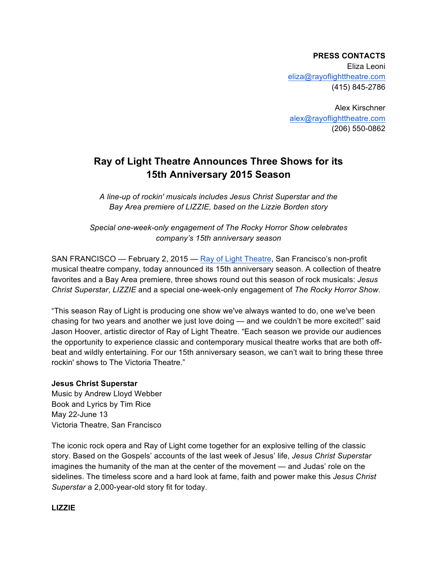**PRESS CONTACTS** Eliza Leoni eliza@rayoflighttheatre.com (415) 845-2786

Alex Kirschner alex@rayoflighttheatre.com (206) 550-0862

# **Ray of Light Theatre Announces Three Shows for its 15th Anniversary 2015 Season**

*A line-up of rockin' musicals includes Jesus Christ Superstar and the Bay Area premiere of LIZZIE, based on the Lizzie Borden story*

*Special one-week-only engagement of The Rocky Horror Show celebrates company's 15th anniversary season*

SAN FRANCISCO — February 2, 2015 — Ray of Light Theatre, San Francisco's non-profit musical theatre company, today announced its 15th anniversary season. A collection of theatre favorites and a Bay Area premiere, three shows round out this season of rock musicals: *Jesus Christ Superstar*, *LIZZIE* and a special one-week-only engagement of *The Rocky Horror Show*.

"This season Ray of Light is producing one show we've always wanted to do, one we've been chasing for two years and another we just love doing — and we couldn't be more excited!" said Jason Hoover, artistic director of Ray of Light Theatre. "Each season we provide our audiences the opportunity to experience classic and contemporary musical theatre works that are both offbeat and wildly entertaining. For our 15th anniversary season, we can't wait to bring these three rockin' shows to The Victoria Theatre."

## **Jesus Christ Superstar**

Music by Andrew Lloyd Webber Book and Lyrics by Tim Rice May 22-June 13 Victoria Theatre, San Francisco

The iconic rock opera and Ray of Light come together for an explosive telling of the classic story. Based on the Gospels' accounts of the last week of Jesus' life, *Jesus Christ Superstar* imagines the humanity of the man at the center of the movement — and Judas' role on the sidelines. The timeless score and a hard look at fame, faith and power make this *Jesus Christ Superstar* a 2,000-year-old story fit for today.

## **LIZZIE**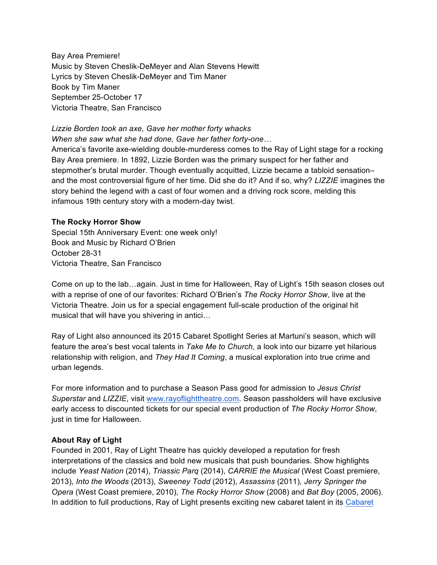Bay Area Premiere! Music by Steven Cheslik-DeMeyer and Alan Stevens Hewitt Lyrics by Steven Cheslik-DeMeyer and Tim Maner Book by Tim Maner September 25-October 17 Victoria Theatre, San Francisco

### *Lizzie Borden took an axe, Gave her mother forty whacks*

*When she saw what she had done, Gave her father forty-one…*

America's favorite axe-wielding double-murderess comes to the Ray of Light stage for a rocking Bay Area premiere. In 1892, Lizzie Borden was the primary suspect for her father and stepmother's brutal murder. Though eventually acquitted, Lizzie became a tabloid sensation– and the most controversial figure of her time. Did she do it? And if so, why? *LIZZIE* imagines the story behind the legend with a cast of four women and a driving rock score, melding this infamous 19th century story with a modern-day twist.

#### **The Rocky Horror Show**

Special 15th Anniversary Event: one week only! Book and Music by Richard O'Brien October 28-31 Victoria Theatre, San Francisco

Come on up to the lab…again. Just in time for Halloween, Ray of Light's 15th season closes out with a reprise of one of our favorites: Richard O'Brien's *The Rocky Horror Show*, live at the Victoria Theatre. Join us for a special engagement full-scale production of the original hit musical that will have you shivering in antici…

Ray of Light also announced its 2015 Cabaret Spotlight Series at Martuni's season, which will feature the area's best vocal talents in *Take Me to Church*, a look into our bizarre yet hilarious relationship with religion, and *They Had It Coming*, a musical exploration into true crime and urban legends.

For more information and to purchase a Season Pass good for admission to *Jesus Christ Superstar* and *LIZZIE*, visit www.rayoflighttheatre.com. Season passholders will have exclusive early access to discounted tickets for our special event production of *The Rocky Horror Show*, just in time for Halloween.

### **About Ray of Light**

Founded in 2001, Ray of Light Theatre has quickly developed a reputation for fresh interpretations of the classics and bold new musicals that push boundaries. Show highlights include *Yeast Nation* (2014), *Triassic Parq* (2014), *CARRIE the Musical* (West Coast premiere, 2013), *Into the Woods* (2013), *Sweeney Todd* (2012), *Assassins* (2011), *Jerry Springer the Opera* (West Coast premiere, 2010), *The Rocky Horror Show* (2008) and *Bat Boy* (2005, 2006). In addition to full productions, Ray of Light presents exciting new cabaret talent in its Cabaret